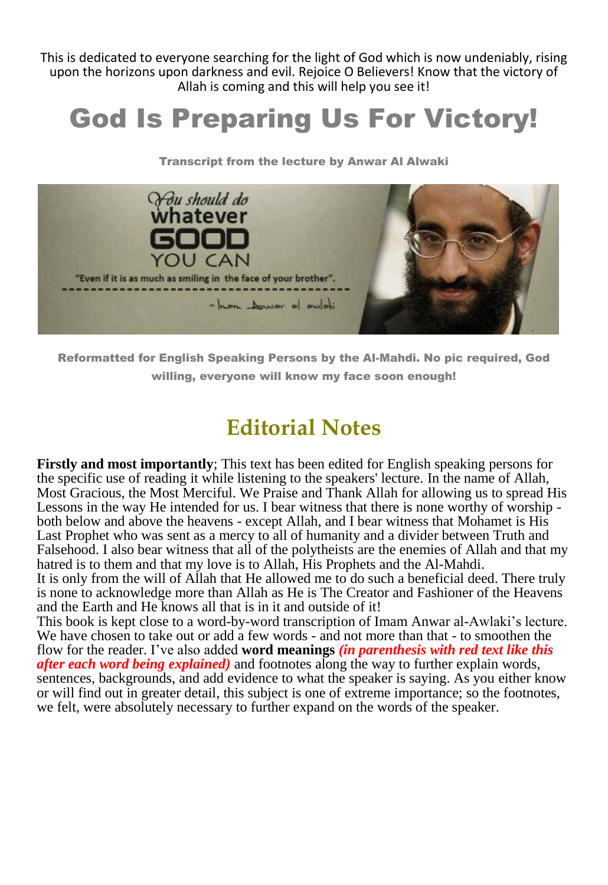This is dedicated to everyone searching for the light of God which is now undeniably, rising upon the horizons upon darkness and evil. Rejoice O Believers! Know that the victory of Allah is coming and this will help you see it!

# God Is Preparing Us For Victory!

Transcript from the lecture by Anwar Al Alwaki



Reformatted for English Speaking Persons by the Al-Mahdi. No pic required, God willing, everyone will know my face soon enough!

## **Editorial Notes**

**Firstly and most importantly**; This text has been edited for English speaking persons for the specific use of reading it while listening to the speakers' lecture. In the name of Allah, Most Gracious, the Most Merciful. We Praise and Thank Allah for allowing us to spread His Lessons in the way He intended for us. I bear witness that there is none worthy of worship both below and above the heavens - except Allah, and I bear witness that Mohamet is His Last Prophet who was sent as a mercy to all of humanity and a divider between Truth and Falsehood. I also bear witness that all of the polytheists are the enemies of Allah and that my hatred is to them and that my love is to Allah, His Prophets and the Al-Mahdi.

It is only from the will of Allah that He allowed me to do such a beneficial deed. There truly is none to acknowledge more than Allah as He is The Creator and Fashioner of the Heavens and the Earth and He knows all that is in it and outside of it!

This book is kept close to a word-by-word transcription of Imam Anwar al-Awlaki's lecture. We have chosen to take out or add a few words - and not more than that - to smoothen the flow for the reader. I've also added **word meanings** *(in parenthesis with red text like this after each word being explained)* and footnotes along the way to further explain words, sentences, backgrounds, and add evidence to what the speaker is saying. As you either know or will find out in greater detail, this subject is one of extreme importance; so the footnotes, we felt, were absolutely necessary to further expand on the words of the speaker.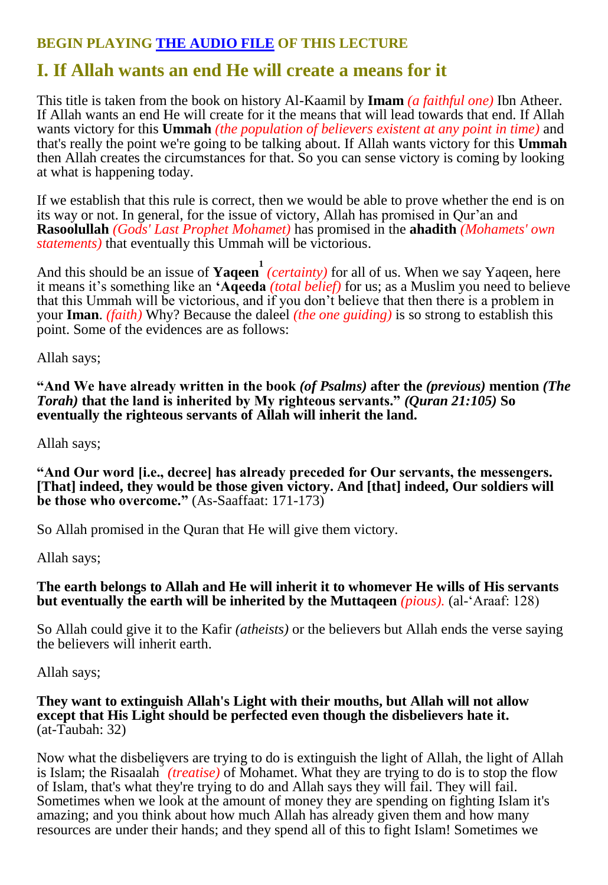### **BEGIN PLAYING [THE AUDIO FILE](https://5truths.com/wp-content/uploads/VictoryFull1&2.mp3) OF THIS LECTURE**

## **I. If Allah wants an end He will create a means for it**

This title is taken from the book on history Al-Kaamil by **Imam** *(a faithful one)* Ibn Atheer. If Allah wants an end He will create for it the means that will lead towards that end. If Allah wants victory for this **Ummah** *(the population of believers existent at any point in time)* and that's really the point we're going to be talking about. If Allah wants victory for this **Ummah** then Allah creates the circumstances for that. So you can sense victory is coming by looking at what is happening today.

If we establish that this rule is correct, then we would be able to prove whether the end is on its way or not. In general, for the issue of victory, Allah has promised in Qur'an and **Rasoolullah** *(Gods' Last Prophet Mohamet)* has promised in the **ahadith** *(Mohamets' own statements)* that eventually this Ummah will be victorious.

And this should be an issue of **Yaqeen** (*certainty*) for all of us. When we say Yaqeen, here it means it's something like an **'Aqeeda** *(total belief)* for us; as a Muslim you need to believe that this Ummah will be victorious, and if you don't believe that then there is a problem in your **Iman**. *(faith)* Why? Because the daleel *(the one guiding)* is so strong to establish this point. Some of the evidences are as follows:

Allah says;

**"And We have already written in the book** *(of Psalms)* **after the** *(previous)* **mention** *(The Torah)* **that the land is inherited by My righteous servants."** *(Quran 21:105)* **So eventually the righteous servants of Allah will inherit the land.**

Allah says;

**"And Our word [i.e., decree] has already preceded for Our servants, the messengers. [That] indeed, they would be those given victory. And [that] indeed, Our soldiers will be those who overcome."** (As-Saaffaat: 171-173)

So Allah promised in the Quran that He will give them victory.

Allah says;

#### **The earth belongs to Allah and He will inherit it to whomever He wills of His servants but eventually the earth will be inherited by the Muttaqeen** *(pious).* (al-'Araaf: 128)

So Allah could give it to the Kafir *(atheists)* or the believers but Allah ends the verse saying the believers will inherit earth.

Allah says;

#### **They want to extinguish Allah's Light with their mouths, but Allah will not allow except that His Light should be perfected even though the disbelievers hate it.** (at-Taubah: 32)

Now what the disbelievers are trying to do is extinguish the light of Allah, the light of Allah is Islam; the Risaalah *(treatise)* of Mohamet. What they are trying to do is to stop the flow of Islam, that's what they're trying to do and Allah says they will fail. They will fail. Sometimes when we look at the amount of money they are spending on fighting Islam it's amazing; and you think about how much Allah has already given them and how many resources are under their hands; and they spend all of this to fight Islam! Sometimes we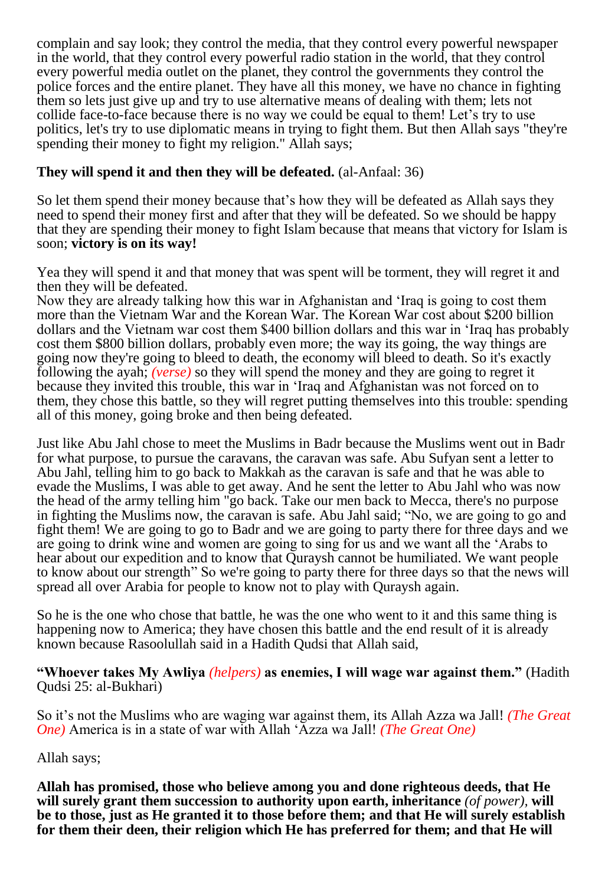complain and say look; they control the media, that they control every powerful newspaper in the world, that they control every powerful radio station in the world, that they control every powerful media outlet on the planet, they control the governments they control the police forces and the entire planet. They have all this money, we have no chance in fighting them so lets just give up and try to use alternative means of dealing with them; lets not collide face-to-face because there is no way we could be equal to them! Let's try to use politics, let's try to use diplomatic means in trying to fight them. But then Allah says "they're spending their money to fight my religion." Allah says;

#### **They will spend it and then they will be defeated.** (al-Anfaal: 36)

So let them spend their money because that's how they will be defeated as Allah says they need to spend their money first and after that they will be defeated. So we should be happy that they are spending their money to fight Islam because that means that victory for Islam is soon; **victory is on its way!**

Yea they will spend it and that money that was spent will be torment, they will regret it and then they will be defeated.

Now they are already talking how this war in Afghanistan and 'Iraq is going to cost them more than the Vietnam War and the Korean War. The Korean War cost about \$200 billion dollars and the Vietnam war cost them \$400 billion dollars and this war in 'Iraq has probably cost them \$800 billion dollars, probably even more; the way its going, the way things are going now they're going to bleed to death, the economy will bleed to death. So it's exactly following the ayah; *(verse)* so they will spend the money and they are going to regret it because they invited this trouble, this war in 'Iraq and Afghanistan was not forced on to them, they chose this battle, so they will regret putting themselves into this trouble: spending all of this money, going broke and then being defeated.

Just like Abu Jahl chose to meet the Muslims in Badr because the Muslims went out in Badr for what purpose, to pursue the caravans, the caravan was safe. Abu Sufyan sent a letter to Abu Jahl, telling him to go back to Makkah as the caravan is safe and that he was able to evade the Muslims, I was able to get away. And he sent the letter to Abu Jahl who was now the head of the army telling him "go back. Take our men back to Mecca, there's no purpose in fighting the Muslims now, the caravan is safe. Abu Jahl said; "No, we are going to go and fight them! We are going to go to Badr and we are going to party there for three days and we are going to drink wine and women are going to sing for us and we want all the 'Arabs to hear about our expedition and to know that Quraysh cannot be humiliated. We want people to know about our strength" So we're going to party there for three days so that the news will spread all over Arabia for people to know not to play with Quraysh again.

So he is the one who chose that battle, he was the one who went to it and this same thing is happening now to America; they have chosen this battle and the end result of it is already known because Rasoolullah said in a Hadith Qudsi that Allah said,

**"Whoever takes My Awliya** *(helpers)* **as enemies, I will wage war against them."** (Hadith Qudsi 25: al-Bukhari)

So it's not the Muslims who are waging war against them, its Allah Azza wa Jall! *(The Great One)* America is in a state of war with Allah 'Azza wa Jall! *(The Great One)*

Allah says;

**Allah has promised, those who believe among you and done righteous deeds, that He will surely grant them succession to authority upon earth, inheritance** *(of power),* **will be to those, just as He granted it to those before them; and that He will surely establish for them their deen, their religion which He has preferred for them; and that He will**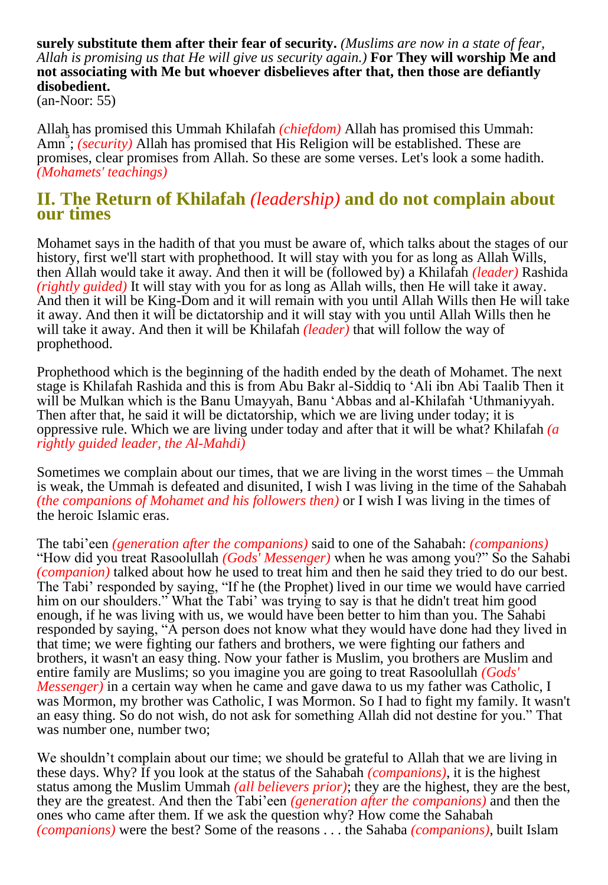**surely substitute them after their fear of security.** *(Muslims are now in a state of fear, Allah is promising us that He will give us security again.)* **For They will worship Me and not associating with Me but whoever disbelieves after that, then those are defiantly disobedient.**

(an-Noor: 55)

Allah has promised this Ummah Khilafah *(chiefdom)* Allah has promised this Ummah: 5 Amn ; *(security)* Allah has promised that His Religion will be established. These are promises, clear promises from Allah. So these are some verses. Let's look a some hadith. *(Mohamets' teachings)*

#### **II. The Return of Khilafah** *(leadership)* **and do not complain about our times**

Mohamet says in the hadith of that you must be aware of, which talks about the stages of our history, first we'll start with prophethood. It will stay with you for as long as Allah Wills, then Allah would take it away. And then it will be (followed by) a Khilafah *(leader)* Rashida *(rightly guided)* It will stay with you for as long as Allah wills, then He will take it away. And then it will be King-Dom and it will remain with you until Allah Wills then He will take it away. And then it will be dictatorship and it will stay with you until Allah Wills then he will take it away. And then it will be Khilafah *(leader)* that will follow the way of prophethood.

Prophethood which is the beginning of the hadith ended by the death of Mohamet. The next stage is Khilafah Rashida and this is from Abu Bakr al-Siddiq to 'Ali ibn Abi Taalib Then it will be Mulkan which is the Banu Umayyah, Banu 'Abbas and al-Khilafah 'Uthmaniyyah. Then after that, he said it will be dictatorship, which we are living under today; it is oppressive rule. Which we are living under today and after that it will be what? Khilafah *(a rightly guided leader, the Al-Mahdi)*

Sometimes we complain about our times, that we are living in the worst times – the Ummah is weak, the Ummah is defeated and disunited, I wish I was living in the time of the Sahabah *(the companions of Mohamet and his followers then)* or I wish I was living in the times of the heroic Islamic eras.

The tabi'een *(generation after the companions)* said to one of the Sahabah: *(companions)* "How did you treat Rasoolullah *(Gods' Messenger)* when he was among you?" So the Sahabi *(companion)* talked about how he used to treat him and then he said they tried to do our best. The Tabi' responded by saying, "If he (the Prophet) lived in our time we would have carried him on our shoulders." What the Tabi' was trying to say is that he didn't treat him good enough, if he was living with us, we would have been better to him than you. The Sahabi responded by saying, "A person does not know what they would have done had they lived in that time; we were fighting our fathers and brothers, we were fighting our fathers and brothers, it wasn't an easy thing. Now your father is Muslim, you brothers are Muslim and entire family are Muslims; so you imagine you are going to treat Rasoolullah *(Gods' Messenger*) in a certain way when he came and gave dawa to us my father was Catholic, I was Mormon, my brother was Catholic, I was Mormon. So I had to fight my family. It wasn't an easy thing. So do not wish, do not ask for something Allah did not destine for you." That was number one, number two;

We shouldn't complain about our time; we should be grateful to Allah that we are living in these days. Why? If you look at the status of the Sahabah *(companions)*, it is the highest status among the Muslim Ummah *(all believers prior)*; they are the highest, they are the best, they are the greatest. And then the Tabi'een *(generation after the companions)* and then the ones who came after them. If we ask the question why? How come the Sahabah *(companions)* were the best? Some of the reasons . . . the Sahaba *(companions)*, built Islam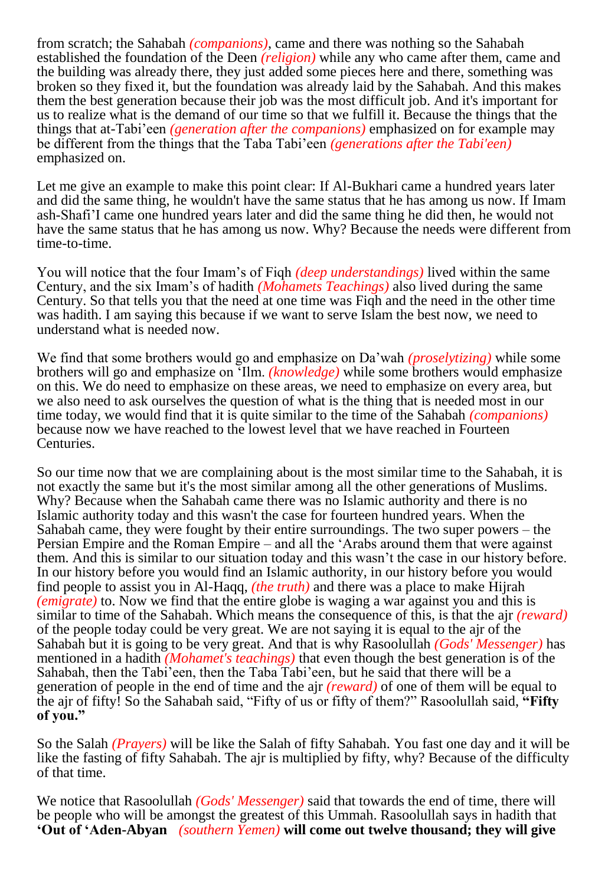from scratch; the Sahabah *(companions)*, came and there was nothing so the Sahabah established the foundation of the Deen *(religion)* while any who came after them, came and the building was already there, they just added some pieces here and there, something was broken so they fixed it, but the foundation was already laid by the Sahabah. And this makes them the best generation because their job was the most difficult job. And it's important for us to realize what is the demand of our time so that we fulfill it. Because the things that the things that at-Tabi'een *(generation after the companions)* emphasized on for example may be different from the things that the Taba Tabi'een *(generations after the Tabi'een)* emphasized on.

Let me give an example to make this point clear: If Al-Bukhari came a hundred years later and did the same thing, he wouldn't have the same status that he has among us now. If Imam ash-Shafi'I came one hundred years later and did the same thing he did then, he would not have the same status that he has among us now. Why? Because the needs were different from time-to-time.

You will notice that the four Imam's of Fiqh *(deep understandings)* lived within the same Century, and the six Imam's of hadith *(Mohamets Teachings)* also lived during the same Century. So that tells you that the need at one time was Fiqh and the need in the other time was hadith. I am saying this because if we want to serve Islam the best now, we need to understand what is needed now.

We find that some brothers would go and emphasize on Da'wah *(proselytizing)* while some brothers will go and emphasize on 'Ilm. *(knowledge)* while some brothers would emphasize on this. We do need to emphasize on these areas, we need to emphasize on every area, but we also need to ask ourselves the question of what is the thing that is needed most in our time today, we would find that it is quite similar to the time of the Sahabah *(companions)* because now we have reached to the lowest level that we have reached in Fourteen Centuries.

So our time now that we are complaining about is the most similar time to the Sahabah, it is not exactly the same but it's the most similar among all the other generations of Muslims. Why? Because when the Sahabah came there was no Islamic authority and there is no Islamic authority today and this wasn't the case for fourteen hundred years. When the Sahabah came, they were fought by their entire surroundings. The two super powers – the Persian Empire and the Roman Empire – and all the 'Arabs around them that were against them. And this is similar to our situation today and this wasn't the case in our history before. In our history before you would find an Islamic authority, in our history before you would find people to assist you in Al-Haqq, *(the truth)* and there was a place to make Hijrah *(emigrate)* to. Now we find that the entire globe is waging a war against you and this is similar to time of the Sahabah. Which means the consequence of this, is that the ajr *(reward)* of the people today could be very great. We are not saying it is equal to the ajr of the Sahabah but it is going to be very great. And that is why Rasoolullah *(Gods' Messenger)* has mentioned in a hadith *(Mohamet's teachings)* that even though the best generation is of the Sahabah, then the Tabi'een, then the Taba Tabi'een, but he said that there will be a generation of people in the end of time and the ajr *(reward)* of one of them will be equal to the ajr of fifty! So the Sahabah said, "Fifty of us or fifty of them?" Rasoolullah said, **"Fifty of you."** 

So the Salah *(Prayers)* will be like the Salah of fifty Sahabah. You fast one day and it will be like the fasting of fifty Sahabah. The ajr is multiplied by fifty, why? Because of the difficulty of that time.

We notice that Rasoolullah *(Gods' Messenger)* said that towards the end of time, there will be people who will be amongst the greatest of this Ummah. Rasoolullah says in hadith that **'Out of 'Aden-Abyan** *(southern Yemen)* **will come out twelve thousand; they will give**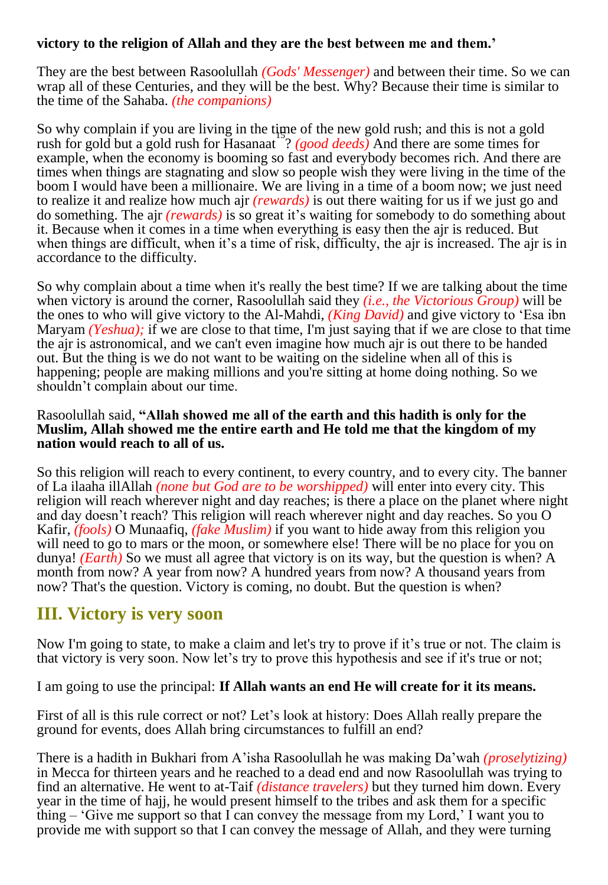#### **victory to the religion of Allah and they are the best between me and them.'**

They are the best between Rasoolullah *(Gods' Messenger)* and between their time. So we can wrap all of these Centuries, and they will be the best. Why? Because their time is similar to the time of the Sahaba. *(the companions)*

So why complain if you are living in the time of the new gold rush; and this is not a gold rush for gold but a gold rush for Hasanaat ? *(good deeds)* And there are some times for example, when the economy is booming so fast and everybody becomes rich. And there are times when things are stagnating and slow so people wish they were living in the time of the boom I would have been a millionaire. We are living in a time of a boom now; we just need to realize it and realize how much ajr *(rewards)* is out there waiting for us if we just go and do something. The ajr *(rewards)* is so great it's waiting for somebody to do something about it. Because when it comes in a time when everything is easy then the ajr is reduced. But when things are difficult, when it's a time of risk, difficulty, the ajr is increased. The ajr is in accordance to the difficulty.

So why complain about a time when it's really the best time? If we are talking about the time when victory is around the corner, Rasoolullah said they *(i.e., the Victorious Group)* will be the ones to who will give victory to the Al-Mahdi, *(King David)* and give victory to 'Esa ibn Maryam *(Yeshua);* if we are close to that time, I'm just saying that if we are close to that time the ajr is astronomical, and we can't even imagine how much ajr is out there to be handed out. But the thing is we do not want to be waiting on the sideline when all of this is happening; people are making millions and you're sitting at home doing nothing. So we shouldn't complain about our time.

#### Rasoolullah said, **"Allah showed me all of the earth and this hadith is only for the Muslim, Allah showed me the entire earth and He told me that the kingdom of my nation would reach to all of us.**

So this religion will reach to every continent, to every country, and to every city. The banner of La ilaaha illAllah *(none but God are to be worshipped)* will enter into every city. This religion will reach wherever night and day reaches; is there a place on the planet where night and day doesn't reach? This religion will reach wherever night and day reaches. So you O Kafir, *(fools)* O Munaafiq, *(fake Muslim)* if you want to hide away from this religion you will need to go to mars or the moon, or somewhere else! There will be no place for you on dunya! *(Earth)* So we must all agree that victory is on its way, but the question is when? A month from now? A year from now? A hundred years from now? A thousand years from now? That's the question. Victory is coming, no doubt. But the question is when?

## **III. Victory is very soon**

Now I'm going to state, to make a claim and let's try to prove if it's true or not. The claim is that victory is very soon. Now let's try to prove this hypothesis and see if it's true or not;

I am going to use the principal: **If Allah wants an end He will create for it its means.**

First of all is this rule correct or not? Let's look at history: Does Allah really prepare the ground for events, does Allah bring circumstances to fulfill an end?

There is a hadith in Bukhari from A'isha Rasoolullah he was making Da'wah *(proselytizing)* in Mecca for thirteen years and he reached to a dead end and now Rasoolullah was trying to find an alternative. He went to at-Taif *(distance travelers)* but they turned him down. Every year in the time of hajj, he would present himself to the tribes and ask them for a specific thing  $-$  'Give me support so that I can convey the message from my Lord,' I want you to provide me with support so that I can convey the message of Allah, and they were turning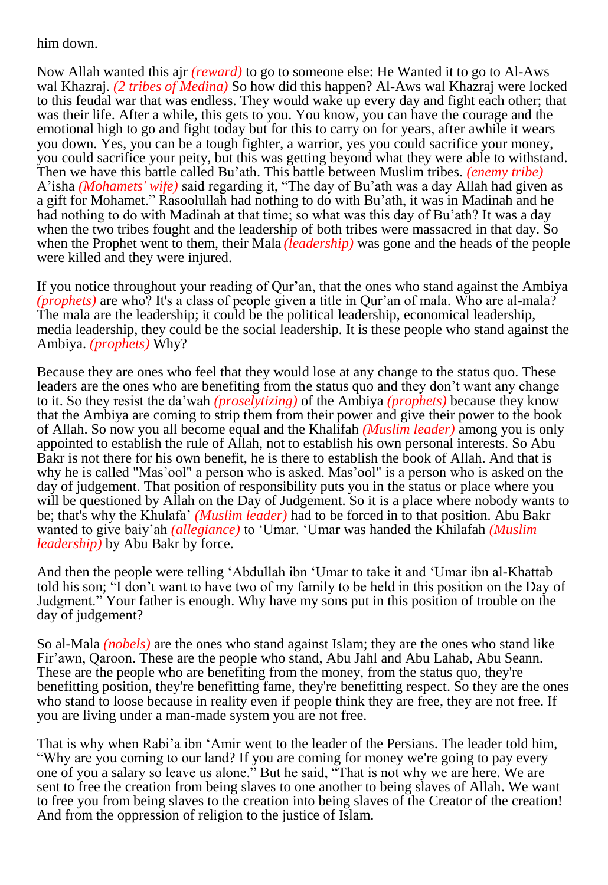#### him down.

Now Allah wanted this ajr *(reward)* to go to someone else: He Wanted it to go to Al-Aws wal Khazraj. *(2 tribes of Medina)* So how did this happen? Al-Aws wal Khazraj were locked to this feudal war that was endless. They would wake up every day and fight each other; that was their life. After a while, this gets to you. You know, you can have the courage and the emotional high to go and fight today but for this to carry on for years, after awhile it wears you down. Yes, you can be a tough fighter, a warrior, yes you could sacrifice your money, you could sacrifice your peity, but this was getting beyond what they were able to withstand. Then we have this battle called Bu'ath. This battle between Muslim tribes. *(enemy tribe)* A'isha *(Mohamets' wife)* said regarding it, "The day of Bu'ath was a day Allah had given as a gift for Mohamet." Rasoolullah had nothing to do with Bu'ath, it was in Madinah and he had nothing to do with Madinah at that time; so what was this day of Bu'ath? It was a day when the two tribes fought and the leadership of both tribes were massacred in that day. So when the Prophet went to them, their Mala *(leadership)* was gone and the heads of the people were killed and they were injured.

If you notice throughout your reading of Qur'an, that the ones who stand against the Ambiya *(prophets)* are who? It's a class of people given a title in Qur'an of mala. Who are al-mala? The mala are the leadership; it could be the political leadership, economical leadership, media leadership, they could be the social leadership. It is these people who stand against the Ambiya. *(prophets)* Why?

Because they are ones who feel that they would lose at any change to the status quo. These leaders are the ones who are benefiting from the status quo and they don't want any change to it. So they resist the da'wah *(proselytizing)* of the Ambiya *(prophets)* because they know that the Ambiya are coming to strip them from their power and give their power to the book of Allah. So now you all become equal and the Khalifah *(Muslim leader)* among you is only appointed to establish the rule of Allah, not to establish his own personal interests. So Abu Bakr is not there for his own benefit, he is there to establish the book of Allah. And that is why he is called "Mas'ool" a person who is asked. Mas'ool" is a person who is asked on the day of judgement. That position of responsibility puts you in the status or place where you will be questioned by Allah on the Day of Judgement. So it is a place where nobody wants to be; that's why the Khulafa' *(Muslim leader)* had to be forced in to that position. Abu Bakr wanted to give baiy'ah *(allegiance)* to 'Umar. 'Umar was handed the Khilafah *(Muslim leadership)* by Abu Bakr by force.

And then the people were telling 'Abdullah ibn 'Umar to take it and 'Umar ibn al-Khattab told his son; "I don't want to have two of my family to be held in this position on the Day of Judgment." Your father is enough. Why have my sons put in this position of trouble on the day of judgement?

So al-Mala *(nobels)* are the ones who stand against Islam; they are the ones who stand like Fir'awn, Qaroon. These are the people who stand, Abu Jahl and Abu Lahab, Abu Seann. These are the people who are benefiting from the money, from the status quo, they're benefitting position, they're benefitting fame, they're benefitting respect. So they are the ones who stand to loose because in reality even if people think they are free, they are not free. If you are living under a man-made system you are not free.

That is why when Rabi'a ibn 'Amir went to the leader of the Persians. The leader told him, "Why are you coming to our land? If you are coming for money we're going to pay every one of you a salary so leave us alone." But he said, "That is not why we are here. We are sent to free the creation from being slaves to one another to being slaves of Allah. We want to free you from being slaves to the creation into being slaves of the Creator of the creation! And from the oppression of religion to the justice of Islam.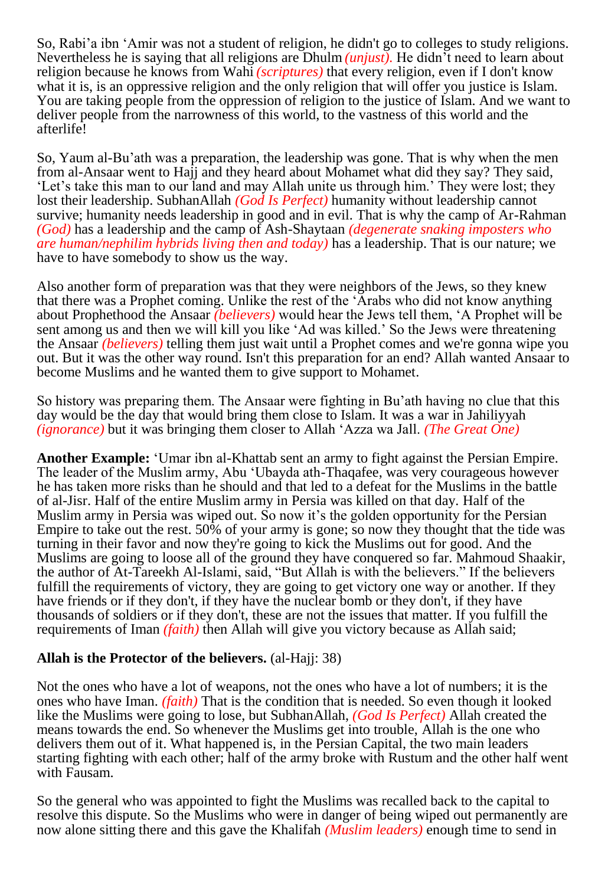So, Rabi'a ibn 'Amir was not a student of religion, he didn't go to colleges to study religions. Nevertheless he is saying that all religions are Dhulm *(unjust).* He didn't need to learn about religion because he knows from Wahi *(scriptures)* that every religion, even if I don't know what it is, is an oppressive religion and the only religion that will offer you justice is Islam. You are taking people from the oppression of religion to the justice of Islam. And we want to deliver people from the narrowness of this world, to the vastness of this world and the afterlife!

So, Yaum al-Bu'ath was a preparation, the leadership was gone. That is why when the men from al-Ansaar went to Hajj and they heard about Mohamet what did they say? They said, 'Let's take this man to our land and may Allah unite us through him.' They were lost; they lost their leadership. SubhanAllah *(God Is Perfect)* humanity without leadership cannot survive; humanity needs leadership in good and in evil. That is why the camp of Ar-Rahman *(God)* has a leadership and the camp of Ash-Shaytaan *(degenerate snaking imposters who are human/nephilim hybrids living then and today)* has a leadership. That is our nature; we have to have somebody to show us the way.

Also another form of preparation was that they were neighbors of the Jews, so they knew that there was a Prophet coming. Unlike the rest of the 'Arabs who did not know anything about Prophethood the Ansaar *(believers)* would hear the Jews tell them, 'A Prophet will be sent among us and then we will kill you like 'Ad was killed.' So the Jews were threatening the Ansaar *(believers)* telling them just wait until a Prophet comes and we're gonna wipe you out. But it was the other way round. Isn't this preparation for an end? Allah wanted Ansaar to become Muslims and he wanted them to give support to Mohamet.

So history was preparing them. The Ansaar were fighting in Bu'ath having no clue that this day would be the day that would bring them close to Islam. It was a war in Jahiliyyah *(ignorance)* but it was bringing them closer to Allah 'Azza wa Jall. *(The Great One)*

**Another Example:** 'Umar ibn al-Khattab sent an army to fight against the Persian Empire. The leader of the Muslim army, Abu 'Ubayda ath-Thaqafee, was very courageous however he has taken more risks than he should and that led to a defeat for the Muslims in the battle of al-Jisr. Half of the entire Muslim army in Persia was killed on that day. Half of the Muslim army in Persia was wiped out. So now it's the golden opportunity for the Persian Empire to take out the rest. 50% of your army is gone; so now they thought that the tide was turning in their favor and now they're going to kick the Muslims out for good. And the Muslims are going to loose all of the ground they have conquered so far. Mahmoud Shaakir, the author of At-Tareekh Al-Islami, said, "But Allah is with the believers." If the believers fulfill the requirements of victory, they are going to get victory one way or another. If they have friends or if they don't, if they have the nuclear bomb or they don't, if they have thousands of soldiers or if they don't, these are not the issues that matter. If you fulfill the requirements of Iman *(faith)* then Allah will give you victory because as Allah said;

#### **Allah is the Protector of the believers.** (al-Hajj: 38)

Not the ones who have a lot of weapons, not the ones who have a lot of numbers; it is the ones who have Iman. *(faith)* That is the condition that is needed. So even though it looked like the Muslims were going to lose, but SubhanAllah, *(God Is Perfect)* Allah created the means towards the end. So whenever the Muslims get into trouble, Allah is the one who delivers them out of it. What happened is, in the Persian Capital, the two main leaders starting fighting with each other; half of the army broke with Rustum and the other half went with Fausam.

So the general who was appointed to fight the Muslims was recalled back to the capital to resolve this dispute. So the Muslims who were in danger of being wiped out permanently are now alone sitting there and this gave the Khalifah *(Muslim leaders)* enough time to send in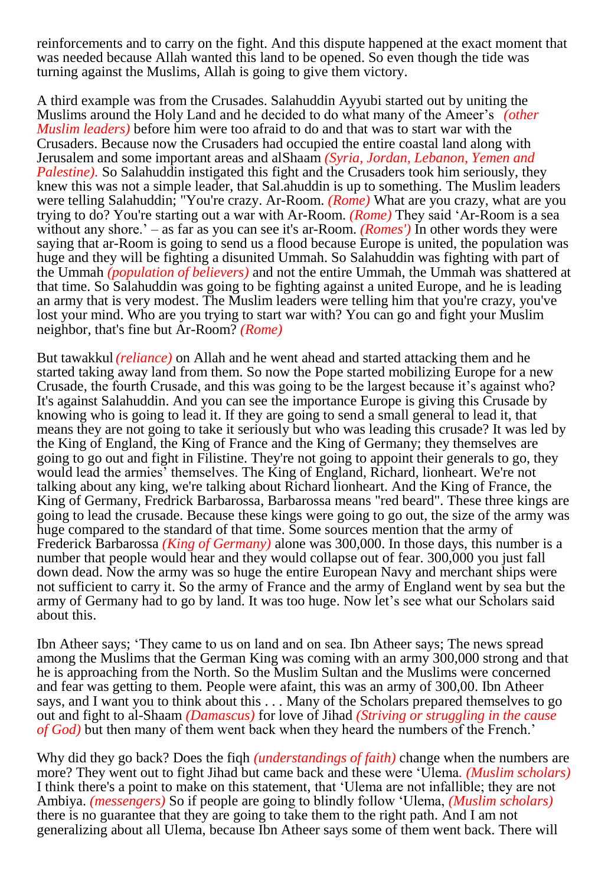reinforcements and to carry on the fight. And this dispute happened at the exact moment that was needed because Allah wanted this land to be opened. So even though the tide was turning against the Muslims, Allah is going to give them victory.

A third example was from the Crusades. Salahuddin Ayyubi started out by uniting the Muslims around the Holy Land and he decided to do what many of the Ameer's *(other Muslim leaders)* before him were too afraid to do and that was to start war with the Crusaders. Because now the Crusaders had occupied the entire coastal land along with Jerusalem and some important areas and alShaam *(Syria, Jordan, Lebanon, Yemen and Palestine*). So Salahuddin instigated this fight and the Crusaders took him seriously, they knew this was not a simple leader, that Sal.ahuddin is up to something. The Muslim leaders were telling Salahuddin; "You're crazy. Ar-Room. *(Rome)* What are you crazy, what are you trying to do? You're starting out a war with Ar-Room. *(Rome)* They said 'Ar-Room is a sea without any shore.' – as far as you can see it's ar-Room. *(Romes')* In other words they were saying that ar-Room is going to send us a flood because Europe is united, the population was huge and they will be fighting a disunited Ummah. So Salahuddin was fighting with part of the Ummah *(population of believers)* and not the entire Ummah, the Ummah was shattered at that time. So Salahuddin was going to be fighting against a united Europe, and he is leading an army that is very modest. The Muslim leaders were telling him that you're crazy, you've lost your mind. Who are you trying to start war with? You can go and fight your Muslim neighbor, that's fine but Ar-Room? *(Rome)*

But tawakkul *(reliance)* on Allah and he went ahead and started attacking them and he started taking away land from them. So now the Pope started mobilizing Europe for a new Crusade, the fourth Crusade, and this was going to be the largest because it's against who? It's against Salahuddin. And you can see the importance Europe is giving this Crusade by knowing who is going to lead it. If they are going to send a small general to lead it, that means they are not going to take it seriously but who was leading this crusade? It was led by the King of England, the King of France and the King of Germany; they themselves are going to go out and fight in Filistine. They're not going to appoint their generals to go, they would lead the armies' themselves. The King of England, Richard, lionheart. We're not talking about any king, we're talking about Richard lionheart. And the King of France, the King of Germany, Fredrick Barbarossa, Barbarossa means "red beard". These three kings are going to lead the crusade. Because these kings were going to go out, the size of the army was huge compared to the standard of that time. Some sources mention that the army of Frederick Barbarossa *(King of Germany)* alone was 300,000. In those days, this number is a number that people would hear and they would collapse out of fear. 300,000 you just fall down dead. Now the army was so huge the entire European Navy and merchant ships were not sufficient to carry it. So the army of France and the army of England went by sea but the army of Germany had to go by land. It was too huge. Now let's see what our Scholars said about this.

Ibn Atheer says; 'They came to us on land and on sea. Ibn Atheer says; The news spread among the Muslims that the German King was coming with an army 300,000 strong and that he is approaching from the North. So the Muslim Sultan and the Muslims were concerned and fear was getting to them. People were afaint, this was an army of 300,00. Ibn Atheer says, and I want you to think about this . . . Many of the Scholars prepared themselves to go out and fight to al-Shaam *(Damascus)* for love of Jihad *(Striving or struggling in the cause of God)* but then many of them went back when they heard the numbers of the French.'

Why did they go back? Does the fiqh *(understandings of faith)* change when the numbers are more? They went out to fight Jihad but came back and these were 'Ulema*. (Muslim scholars)* I think there's a point to make on this statement, that 'Ulema are not infallible; they are not Ambiya. *(messengers)* So if people are going to blindly follow 'Ulema, *(Muslim scholars)* there is no guarantee that they are going to take them to the right path. And I am not generalizing about all Ulema, because Ibn Atheer says some of them went back. There will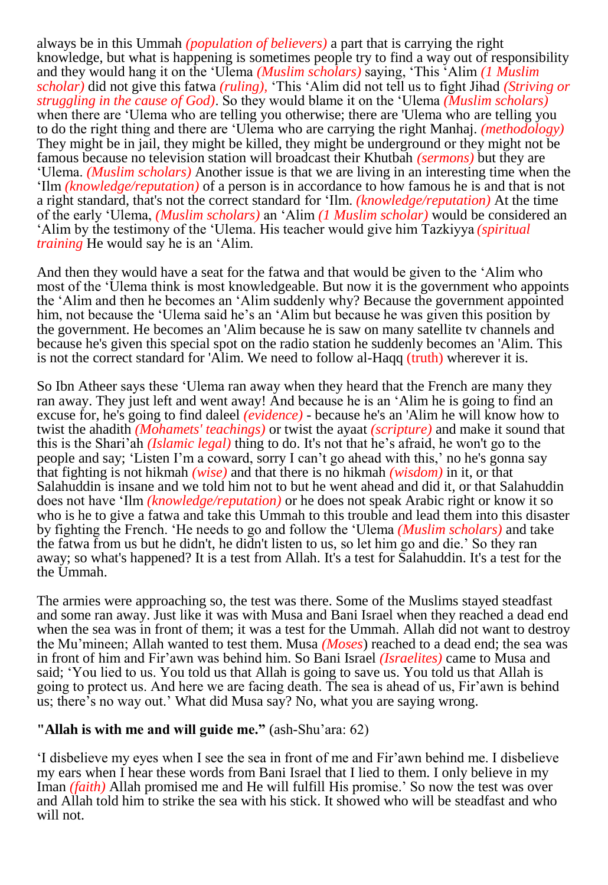always be in this Ummah *(population of believers)* a part that is carrying the right knowledge, but what is happening is sometimes people try to find a way out of responsibility and they would hang it on the 'Ulema *(Muslim scholars)* saying, 'This 'Alim *(1 Muslim scholar)* did not give this fatwa *(ruling),* 'This 'Alim did not tell us to fight Jihad *(Striving or struggling in the cause of God)*. So they would blame it on the 'Ulema *(Muslim scholars)* when there are 'Ulema who are telling you otherwise; there are 'Ulema who are telling you to do the right thing and there are 'Ulema who are carrying the right Manhaj. *(methodology)* They might be in jail, they might be killed, they might be underground or they might not be famous because no television station will broadcast their Khutbah *(sermons)* but they are 'Ulema. *(Muslim scholars)* Another issue is that we are living in an interesting time when the 'Ilm *(knowledge/reputation)* of a person is in accordance to how famous he is and that is not a right standard, that's not the correct standard for 'Ilm. *(knowledge/reputation)* At the time of the early 'Ulema, *(Muslim scholars)* an 'Alim *(1 Muslim scholar)* would be considered an 'Alim by the testimony of the 'Ulema. His teacher would give him Tazkiyya *(spiritual training* He would say he is an 'Alim.

And then they would have a seat for the fatwa and that would be given to the 'Alim who most of the 'Ulema think is most knowledgeable. But now it is the government who appoints the 'Alim and then he becomes an 'Alim suddenly why? Because the government appointed him, not because the 'Ulema said he's an 'Alim but because he was given this position by the government. He becomes an 'Alim because he is saw on many satellite tv channels and because he's given this special spot on the radio station he suddenly becomes an 'Alim. This is not the correct standard for 'Alim. We need to follow al-Haqq (truth) wherever it is.

So Ibn Atheer says these 'Ulema ran away when they heard that the French are many they ran away. They just left and went away! And because he is an 'Alim he is going to find an excuse for, he's going to find daleel *(evidence)* - because he's an 'Alim he will know how to twist the ahadith *(Mohamets' teachings)* or twist the ayaat *(scripture)* and make it sound that this is the Shari'ah *(Islamic legal)* thing to do. It's not that he's afraid, he won't go to the people and say; 'Listen I'm a coward, sorry I can't go ahead with this,' no he's gonna say that fighting is not hikmah *(wise)* and that there is no hikmah *(wisdom)* in it, or that Salahuddin is insane and we told him not to but he went ahead and did it, or that Salahuddin does not have 'Ilm *(knowledge/reputation)* or he does not speak Arabic right or know it so who is he to give a fatwa and take this Ummah to this trouble and lead them into this disaster by fighting the French. 'He needs to go and follow the 'Ulema *(Muslim scholars)* and take the fatwa from us but he didn't, he didn't listen to us, so let him go and die.' So they ran away; so what's happened? It is a test from Allah. It's a test for Salahuddin. It's a test for the the Ummah.

The armies were approaching so, the test was there. Some of the Muslims stayed steadfast and some ran away. Just like it was with Musa and Bani Israel when they reached a dead end when the sea was in front of them; it was a test for the Ummah. Allah did not want to destroy the Mu'mineen; Allah wanted to test them. Musa *(Moses*) reached to a dead end; the sea was in front of him and Fir'awn was behind him. So Bani Israel *(Israelites)* came to Musa and said; 'You lied to us. You told us that Allah is going to save us. You told us that Allah is going to protect us. And here we are facing death. The sea is ahead of us, Fir'awn is behind us; there's no way out.' What did Musa say? No, what you are saying wrong.

#### **"Allah is with me and will guide me."** (ash-Shu'ara: 62)

'I disbelieve my eyes when I see the sea in front of me and Fir'awn behind me. I disbelieve my ears when I hear these words from Bani Israel that I lied to them. I only believe in my Iman *(faith)* Allah promised me and He will fulfill His promise.' So now the test was over and Allah told him to strike the sea with his stick. It showed who will be steadfast and who will not.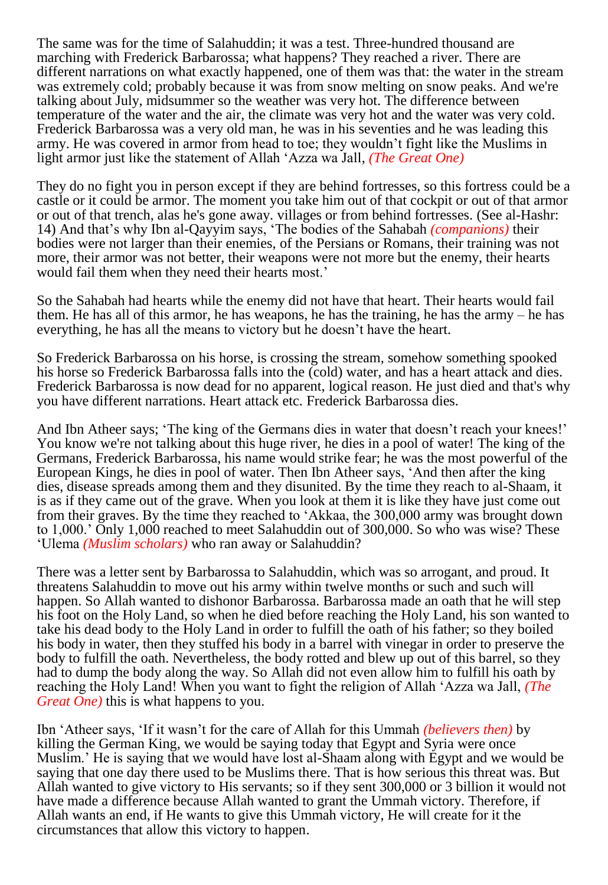The same was for the time of Salahuddin; it was a test. Three-hundred thousand are marching with Frederick Barbarossa; what happens? They reached a river. There are different narrations on what exactly happened, one of them was that: the water in the stream was extremely cold; probably because it was from snow melting on snow peaks. And we're talking about July, midsummer so the weather was very hot. The difference between temperature of the water and the air, the climate was very hot and the water was very cold. Frederick Barbarossa was a very old man, he was in his seventies and he was leading this army. He was covered in armor from head to toe; they wouldn't fight like the Muslims in light armor just like the statement of Allah 'Azza wa Jall, *(The Great One)*

They do no fight you in person except if they are behind fortresses, so this fortress could be a castle or it could be armor. The moment you take him out of that cockpit or out of that armor or out of that trench, alas he's gone away. villages or from behind fortresses. (See al-Hashr: 14) And that's why Ibn al-Qayyim says, 'The bodies of the Sahabah *(companions)* their bodies were not larger than their enemies, of the Persians or Romans, their training was not more, their armor was not better, their weapons were not more but the enemy, their hearts would fail them when they need their hearts most.'

So the Sahabah had hearts while the enemy did not have that heart. Their hearts would fail them. He has all of this armor, he has weapons, he has the training, he has the army – he has everything, he has all the means to victory but he doesn't have the heart.

So Frederick Barbarossa on his horse, is crossing the stream, somehow something spooked his horse so Frederick Barbarossa falls into the (cold) water, and has a heart attack and dies. Frederick Barbarossa is now dead for no apparent, logical reason. He just died and that's why you have different narrations. Heart attack etc. Frederick Barbarossa dies.

And Ibn Atheer says; 'The king of the Germans dies in water that doesn't reach your knees!' You know we're not talking about this huge river, he dies in a pool of water! The king of the Germans, Frederick Barbarossa, his name would strike fear; he was the most powerful of the European Kings, he dies in pool of water. Then Ibn Atheer says, 'And then after the king dies, disease spreads among them and they disunited. By the time they reach to al-Shaam, it is as if they came out of the grave. When you look at them it is like they have just come out from their graves. By the time they reached to 'Akkaa, the 300,000 army was brought down to 1,000.' Only 1,000 reached to meet Salahuddin out of 300,000. So who was wise? These 'Ulema *(Muslim scholars)* who ran away or Salahuddin?

There was a letter sent by Barbarossa to Salahuddin, which was so arrogant, and proud. It threatens Salahuddin to move out his army within twelve months or such and such will happen. So Allah wanted to dishonor Barbarossa. Barbarossa made an oath that he will step his foot on the Holy Land, so when he died before reaching the Holy Land, his son wanted to take his dead body to the Holy Land in order to fulfill the oath of his father; so they boiled his body in water, then they stuffed his body in a barrel with vinegar in order to preserve the body to fulfill the oath. Nevertheless, the body rotted and blew up out of this barrel, so they had to dump the body along the way. So Allah did not even allow him to fulfill his oath by reaching the Holy Land! When you want to fight the religion of Allah 'Azza wa Jall, *(The Great One*) this is what happens to you.

Ibn 'Atheer says, 'If it wasn't for the care of Allah for this Ummah *(believers then)* by killing the German King, we would be saying today that Egypt and Syria were once Muslim.' He is saying that we would have lost al-Shaam along with Egypt and we would be saying that one day there used to be Muslims there. That is how serious this threat was. But Allah wanted to give victory to His servants; so if they sent 300,000 or 3 billion it would not have made a difference because Allah wanted to grant the Ummah victory. Therefore, if Allah wants an end, if He wants to give this Ummah victory, He will create for it the circumstances that allow this victory to happen.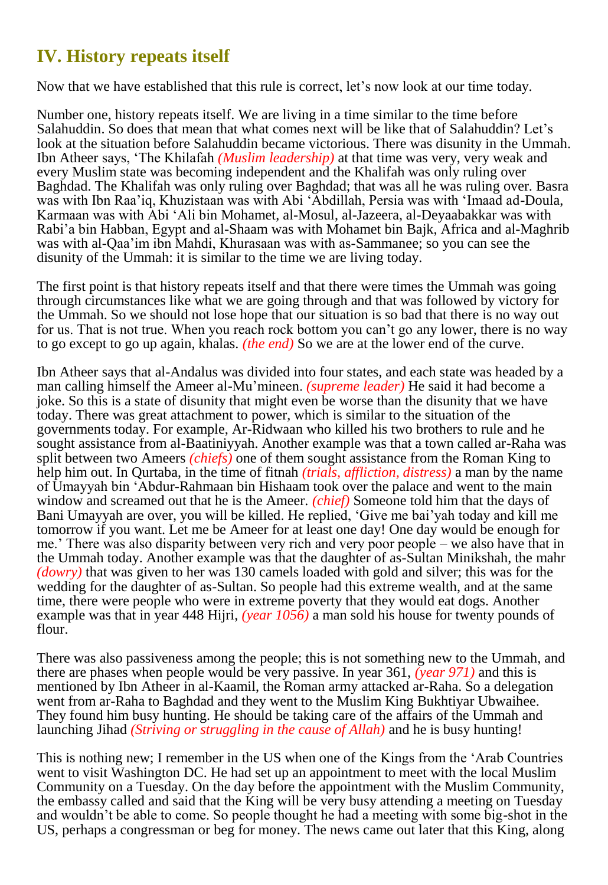## **IV. History repeats itself**

Now that we have established that this rule is correct, let's now look at our time today.

Number one, history repeats itself. We are living in a time similar to the time before Salahuddin. So does that mean that what comes next will be like that of Salahuddin? Let's look at the situation before Salahuddin became victorious. There was disunity in the Ummah. Ibn Atheer says, 'The Khilafah *(Muslim leadership)* at that time was very, very weak and every Muslim state was becoming independent and the Khalifah was only ruling over Baghdad. The Khalifah was only ruling over Baghdad; that was all he was ruling over. Basra was with Ibn Raa'iq, Khuzistaan was with Abi 'Abdillah, Persia was with 'Imaad ad-Doula, Karmaan was with Abi 'Ali bin Mohamet, al-Mosul, al-Jazeera, al-Deyaabakkar was with Rabi'a bin Habban, Egypt and al-Shaam was with Mohamet bin Bajk, Africa and al-Maghrib was with al-Qaa'im ibn Mahdi, Khurasaan was with as-Sammanee; so you can see the disunity of the Ummah: it is similar to the time we are living today.

The first point is that history repeats itself and that there were times the Ummah was going through circumstances like what we are going through and that was followed by victory for the Ummah. So we should not lose hope that our situation is so bad that there is no way out for us. That is not true. When you reach rock bottom you can't go any lower, there is no way to go except to go up again, khalas. *(the end)* So we are at the lower end of the curve.

Ibn Atheer says that al-Andalus was divided into four states, and each state was headed by a man calling himself the Ameer al-Mu'mineen. *(supreme leader)* He said it had become a joke. So this is a state of disunity that might even be worse than the disunity that we have today. There was great attachment to power, which is similar to the situation of the governments today. For example, Ar-Ridwaan who killed his two brothers to rule and he sought assistance from al-Baatiniyyah. Another example was that a town called ar-Raha was split between two Ameers *(chiefs)* one of them sought assistance from the Roman King to help him out. In Qurtaba, in the time of fitnah *(trials, affliction, distress)* a man by the name of Umayyah bin 'Abdur-Rahmaan bin Hishaam took over the palace and went to the main window and screamed out that he is the Ameer. *(chief)* Someone told him that the days of Bani Umayyah are over, you will be killed. He replied, 'Give me bai'yah today and kill me tomorrow if you want. Let me be Ameer for at least one day! One day would be enough for me.' There was also disparity between very rich and very poor people – we also have that in the Ummah today. Another example was that the daughter of as-Sultan Minikshah, the mahr *(dowry)* that was given to her was 130 camels loaded with gold and silver; this was for the wedding for the daughter of as-Sultan. So people had this extreme wealth, and at the same time, there were people who were in extreme poverty that they would eat dogs. Another example was that in year 448 Hijri, *(year 1056)* a man sold his house for twenty pounds of flour.

There was also passiveness among the people; this is not something new to the Ummah, and there are phases when people would be very passive. In year 361, *(year 971)* and this is mentioned by Ibn Atheer in al-Kaamil, the Roman army attacked ar-Raha. So a delegation went from ar-Raha to Baghdad and they went to the Muslim King Bukhtiyar Ubwaihee. They found him busy hunting. He should be taking care of the affairs of the Ummah and launching Jihad *(Striving or struggling in the cause of Allah)* and he is busy hunting!

This is nothing new; I remember in the US when one of the Kings from the 'Arab Countries went to visit Washington DC. He had set up an appointment to meet with the local Muslim Community on a Tuesday. On the day before the appointment with the Muslim Community, the embassy called and said that the King will be very busy attending a meeting on Tuesday and wouldn't be able to come. So people thought he had a meeting with some big-shot in the US, perhaps a congressman or beg for money. The news came out later that this King, along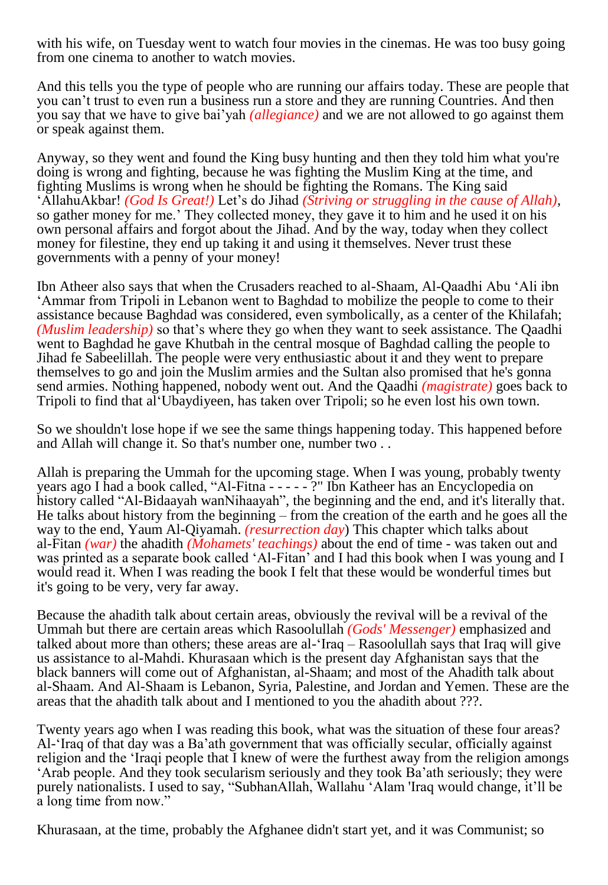with his wife, on Tuesday went to watch four movies in the cinemas. He was too busy going from one cinema to another to watch movies.

And this tells you the type of people who are running our affairs today. These are people that you can't trust to even run a business run a store and they are running Countries. And then you say that we have to give bai'yah *(allegiance)* and we are not allowed to go against them or speak against them.

Anyway, so they went and found the King busy hunting and then they told him what you're doing is wrong and fighting, because he was fighting the Muslim King at the time, and fighting Muslims is wrong when he should be fighting the Romans. The King said 'AllahuAkbar! *(God Is Great!)* Let's do Jihad *(Striving or struggling in the cause of Allah)*, so gather money for me.' They collected money, they gave it to him and he used it on his own personal affairs and forgot about the Jihad. And by the way, today when they collect money for filestine, they end up taking it and using it themselves. Never trust these governments with a penny of your money!

Ibn Atheer also says that when the Crusaders reached to al-Shaam, Al-Qaadhi Abu 'Ali ibn 'Ammar from Tripoli in Lebanon went to Baghdad to mobilize the people to come to their assistance because Baghdad was considered, even symbolically, as a center of the Khilafah; *(Muslim leadership)* so that's where they go when they want to seek assistance. The Qaadhi went to Baghdad he gave Khutbah in the central mosque of Baghdad calling the people to Jihad fe Sabeelillah. The people were very enthusiastic about it and they went to prepare themselves to go and join the Muslim armies and the Sultan also promised that he's gonna send armies. Nothing happened, nobody went out. And the Qaadhi *(magistrate)* goes back to Tripoli to find that al'Ubaydiyeen, has taken over Tripoli; so he even lost his own town.

So we shouldn't lose hope if we see the same things happening today. This happened before and Allah will change it. So that's number one, number two . .

Allah is preparing the Ummah for the upcoming stage. When I was young, probably twenty years ago I had a book called, "Al-Fitna - - - - - ?" Ibn Katheer has an Encyclopedia on history called "Al-Bidaayah wanNihaayah", the beginning and the end, and it's literally that. He talks about history from the beginning – from the creation of the earth and he goes all the way to the end, Yaum Al-Qiyamah. *(resurrection day*) This chapter which talks about al-Fitan *(war)* the ahadith *(Mohamets' teachings)* about the end of time - was taken out and was printed as a separate book called 'Al-Fitan' and I had this book when I was young and I would read it. When I was reading the book I felt that these would be wonderful times but it's going to be very, very far away.

Because the ahadith talk about certain areas, obviously the revival will be a revival of the Ummah but there are certain areas which Rasoolullah *(Gods' Messenger)* emphasized and talked about more than others; these areas are al-'Iraq – Rasoolullah says that Iraq will give us assistance to al-Mahdi. Khurasaan which is the present day Afghanistan says that the black banners will come out of Afghanistan, al-Shaam; and most of the Ahadith talk about al-Shaam. And Al-Shaam is Lebanon, Syria, Palestine, and Jordan and Yemen. These are the areas that the ahadith talk about and I mentioned to you the ahadith about ???.

Twenty years ago when I was reading this book, what was the situation of these four areas? Al-'Iraq of that day was a Ba'ath government that was officially secular, officially against religion and the 'Iraqi people that I knew of were the furthest away from the religion amongs 'Arab people. And they took secularism seriously and they took Ba'ath seriously; they were purely nationalists. I used to say, "SubhanAllah, Wallahu 'Alam 'Iraq would change, it'll be a long time from now."

Khurasaan, at the time, probably the Afghanee didn't start yet, and it was Communist; so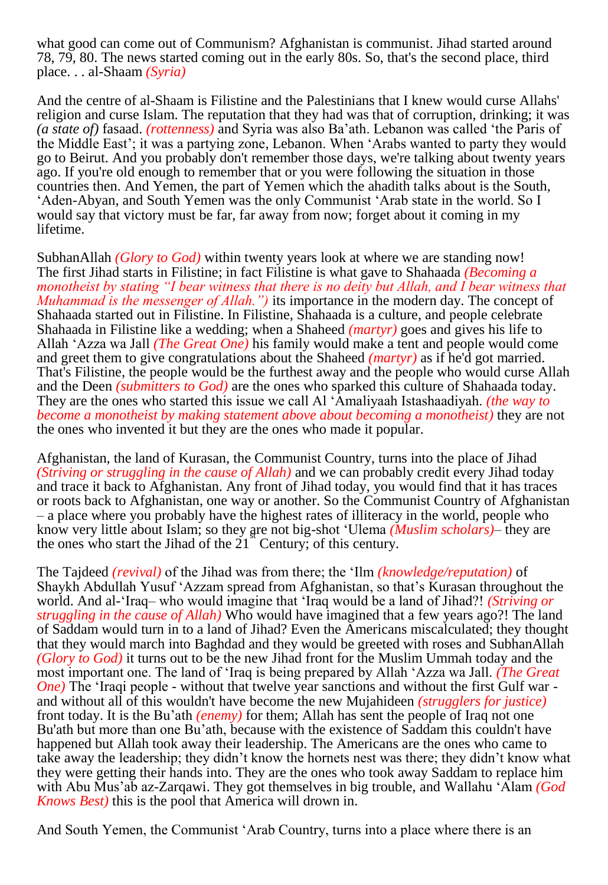what good can come out of Communism? Afghanistan is communist. Jihad started around 78, 79, 80. The news started coming out in the early 80s. So, that's the second place, third place. . . al-Shaam *(Syria)*

And the centre of al-Shaam is Filistine and the Palestinians that I knew would curse Allahs' religion and curse Islam. The reputation that they had was that of corruption, drinking; it was *(a state of)* fasaad. *(rottenness)* and Syria was also Ba'ath. Lebanon was called 'the Paris of the Middle East'; it was a partying zone, Lebanon. When 'Arabs wanted to party they would go to Beirut. And you probably don't remember those days, we're talking about twenty years ago. If you're old enough to remember that or you were following the situation in those countries then. And Yemen, the part of Yemen which the ahadith talks about is the South, 'Aden-Abyan, and South Yemen was the only Communist 'Arab state in the world. So I would say that victory must be far, far away from now; forget about it coming in my lifetime.

SubhanAllah *(Glory to God)* within twenty years look at where we are standing now! The first Jihad starts in Filistine; in fact Filistine is what gave to Shahaada *(Becoming a monotheist by stating "I bear witness that there is no deity but Allah, and I bear witness that Muhammad is the messenger of Allah.")* its importance in the modern day. The concept of Shahaada started out in Filistine. In Filistine, Shahaada is a culture, and people celebrate Shahaada in Filistine like a wedding; when a Shaheed *(martyr)* goes and gives his life to Allah 'Azza wa Jall *(The Great One)* his family would make a tent and people would come and greet them to give congratulations about the Shaheed *(martyr)* as if he'd got married. That's Filistine, the people would be the furthest away and the people who would curse Allah and the Deen *(submitters to God)* are the ones who sparked this culture of Shahaada today. They are the ones who started this issue we call Al 'Amaliyaah Istashaadiyah. *(the way to become a monotheist by making statement above about becoming a monotheist)* they are not the ones who invented it but they are the ones who made it popular.

Afghanistan, the land of Kurasan, the Communist Country, turns into the place of Jihad *(Striving or struggling in the cause of Allah)* and we can probably credit every Jihad today and trace it back to Afghanistan. Any front of Jihad today, you would find that it has traces or roots back to Afghanistan, one way or another. So the Communist Country of Afghanistan – a place where you probably have the highest rates of illiteracy in the world, people who know very little about Islam; so they are not big-shot 'Ulema *(Muslim scholars)*- they are the ones who start the Jihad of the  $21^{\degree}$  Century; of this century.

The Tajdeed *(revival)* of the Jihad was from there; the 'Ilm *(knowledge/reputation)* of Shaykh Abdullah Yusuf 'Azzam spread from Afghanistan, so that's Kurasan throughout the world. And al-'Iraq– who would imagine that 'Iraq would be a land of Jihad?! *(Striving or struggling in the cause of Allah)* Who would have imagined that a few years ago?! The land of Saddam would turn in to a land of Jihad? Even the Americans miscalculated; they thought that they would march into Baghdad and they would be greeted with roses and SubhanAllah *(Glory to God)* it turns out to be the new Jihad front for the Muslim Ummah today and the most important one. The land of 'Iraq is being prepared by Allah 'Azza wa Jall. *(The Great One*) The 'Iraqi people - without that twelve year sanctions and without the first Gulf war and without all of this wouldn't have become the new Mujahideen *(strugglers for justice)* front today. It is the Bu'ath *(enemy)* for them; Allah has sent the people of Iraq not one Bu'ath but more than one Bu'ath, because with the existence of Saddam this couldn't have happened but Allah took away their leadership. The Americans are the ones who came to take away the leadership; they didn't know the hornets nest was there; they didn't know what they were getting their hands into. They are the ones who took away Saddam to replace him with Abu Mus'ab az-Zarqawi. They got themselves in big trouble, and Wallahu 'Alam *(God Knows Best)* this is the pool that America will drown in.

And South Yemen, the Communist 'Arab Country, turns into a place where there is an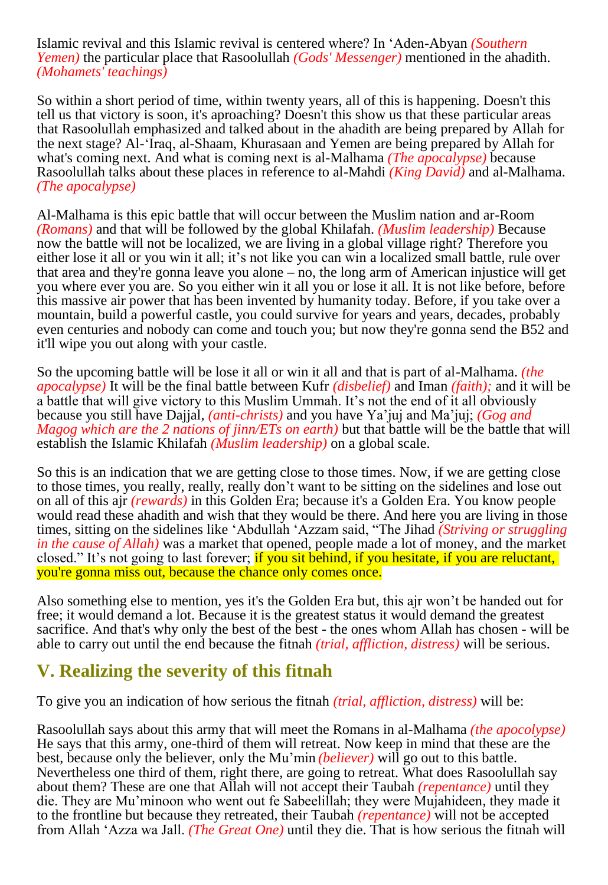Islamic revival and this Islamic revival is centered where? In 'Aden-Abyan *(Southern Yemen)* the particular place that Rasoolullah *(Gods' Messenger)* mentioned in the ahadith. *(Mohamets' teachings)*

So within a short period of time, within twenty years, all of this is happening. Doesn't this tell us that victory is soon, it's aproaching? Doesn't this show us that these particular areas that Rasoolullah emphasized and talked about in the ahadith are being prepared by Allah for the next stage? Al-'Iraq, al-Shaam, Khurasaan and Yemen are being prepared by Allah for what's coming next. And what is coming next is al-Malhama *(The apocalypse)* because Rasoolullah talks about these places in reference to al-Mahdi *(King David)* and al-Malhama. *(The apocalypse)*

Al-Malhama is this epic battle that will occur between the Muslim nation and ar-Room *(Romans)* and that will be followed by the global Khilafah. *(Muslim leadership)* Because now the battle will not be localized, we are living in a global village right? Therefore you either lose it all or you win it all; it's not like you can win a localized small battle, rule over that area and they're gonna leave you alone – no, the long arm of American injustice will get you where ever you are. So you either win it all you or lose it all. It is not like before, before this massive air power that has been invented by humanity today. Before, if you take over a mountain, build a powerful castle, you could survive for years and years, decades, probably even centuries and nobody can come and touch you; but now they're gonna send the B52 and it'll wipe you out along with your castle.

So the upcoming battle will be lose it all or win it all and that is part of al-Malhama. *(the apocalypse)* It will be the final battle between Kufr *(disbelief)* and Iman *(faith);* and it will be a battle that will give victory to this Muslim Ummah. It's not the end of it all obviously because you still have Dajjal, *(anti-christs)* and you have Ya'juj and Ma'juj; *(Gog and Magog which are the 2 nations of jinn/ETs on earth)* but that battle will be the battle that will establish the Islamic Khilafah *(Muslim leadership)* on a global scale.

So this is an indication that we are getting close to those times. Now, if we are getting close to those times, you really, really, really don't want to be sitting on the sidelines and lose out on all of this ajr *(rewards)* in this Golden Era; because it's a Golden Era. You know people would read these ahadith and wish that they would be there. And here you are living in those times, sitting on the sidelines like 'Abdullah 'Azzam said, "The Jihad *(Striving or struggling in the cause of Allah)* was a market that opened, people made a lot of money, and the market closed." It's not going to last forever; if you sit behind, if you hesitate, if you are reluctant, you're gonna miss out, because the chance only comes once.

Also something else to mention, yes it's the Golden Era but, this ajr won't be handed out for free; it would demand a lot. Because it is the greatest status it would demand the greatest sacrifice. And that's why only the best of the best - the ones whom Allah has chosen - will be able to carry out until the end because the fitnah *(trial, affliction, distress)* will be serious.

## **V. Realizing the severity of this fitnah**

To give you an indication of how serious the fitnah *(trial, affliction, distress)* will be:

Rasoolullah says about this army that will meet the Romans in al-Malhama *(the apocolypse)* He says that this army, one-third of them will retreat. Now keep in mind that these are the best, because only the believer, only the Mu'min *(believer)* will go out to this battle. Nevertheless one third of them, right there, are going to retreat. What does Rasoolullah say about them? These are one that Allah will not accept their Taubah *(repentance)* until they die. They are Mu'minoon who went out fe Sabeelillah; they were Mujahideen, they made it to the frontline but because they retreated, their Taubah *(repentance)* will not be accepted from Allah 'Azza wa Jall. *(The Great One)* until they die. That is how serious the fitnah will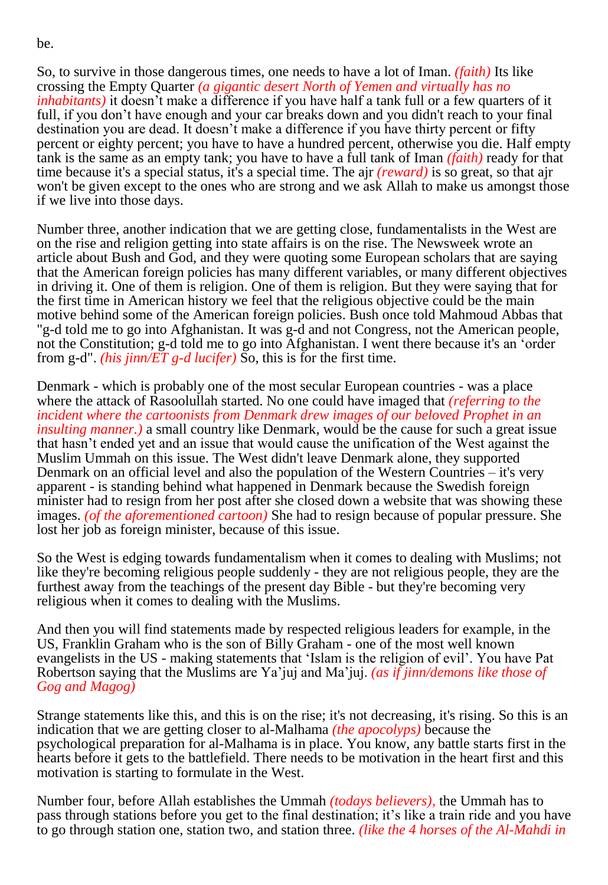be.

So, to survive in those dangerous times, one needs to have a lot of Iman. *(faith)* Its like crossing the Empty Quarter *(a gigantic desert North of Yemen and virtually has no inhabitants)* it doesn't make a difference if you have half a tank full or a few quarters of it full, if you don't have enough and your car breaks down and you didn't reach to your final destination you are dead. It doesn't make a difference if you have thirty percent or fifty percent or eighty percent; you have to have a hundred percent, otherwise you die. Half empty tank is the same as an empty tank; you have to have a full tank of Iman *(faith)* ready for that time because it's a special status, it's a special time. The ajr *(reward)* is so great, so that ajr won't be given except to the ones who are strong and we ask Allah to make us amongst those if we live into those days.

Number three, another indication that we are getting close, fundamentalists in the West are on the rise and religion getting into state affairs is on the rise. The Newsweek wrote an article about Bush and God, and they were quoting some European scholars that are saying that the American foreign policies has many different variables, or many different objectives in driving it. One of them is religion. One of them is religion. But they were saying that for the first time in American history we feel that the religious objective could be the main motive behind some of the American foreign policies. Bush once told Mahmoud Abbas that "g-d told me to go into Afghanistan. It was g-d and not Congress, not the American people, not the Constitution; g-d told me to go into Afghanistan. I went there because it's an 'order from g-d". *(his jinn/ET g-d lucifer)* So, this is for the first time.

Denmark - which is probably one of the most secular European countries - was a place where the attack of Rasoolullah started. No one could have imaged that *(referring to the incident where the cartoonists from Denmark drew images of our beloved Prophet in an insulting manner.*) a small country like Denmark, would be the cause for such a great issue that hasn't ended yet and an issue that would cause the unification of the West against the Muslim Ummah on this issue. The West didn't leave Denmark alone, they supported Denmark on an official level and also the population of the Western Countries – it's very apparent - is standing behind what happened in Denmark because the Swedish foreign minister had to resign from her post after she closed down a website that was showing these images. *(of the aforementioned cartoon)* She had to resign because of popular pressure. She lost her job as foreign minister, because of this issue.

So the West is edging towards fundamentalism when it comes to dealing with Muslims; not like they're becoming religious people suddenly - they are not religious people, they are the furthest away from the teachings of the present day Bible - but they're becoming very religious when it comes to dealing with the Muslims.

And then you will find statements made by respected religious leaders for example, in the US, Franklin Graham who is the son of Billy Graham - one of the most well known evangelists in the US - making statements that 'Islam is the religion of evil'. You have Pat Robertson saying that the Muslims are Ya'juj and Ma'juj. *(as if jinn/demons like those of Gog and Magog)*

Strange statements like this, and this is on the rise; it's not decreasing, it's rising. So this is an indication that we are getting closer to al-Malhama *(the apocolyps)* because the psychological preparation for al-Malhama is in place. You know, any battle starts first in the hearts before it gets to the battlefield. There needs to be motivation in the heart first and this motivation is starting to formulate in the West.

Number four, before Allah establishes the Ummah *(todays believers),* the Ummah has to pass through stations before you get to the final destination; it's like a train ride and you have to go through station one, station two, and station three. *(like the 4 horses of the Al-Mahdi in*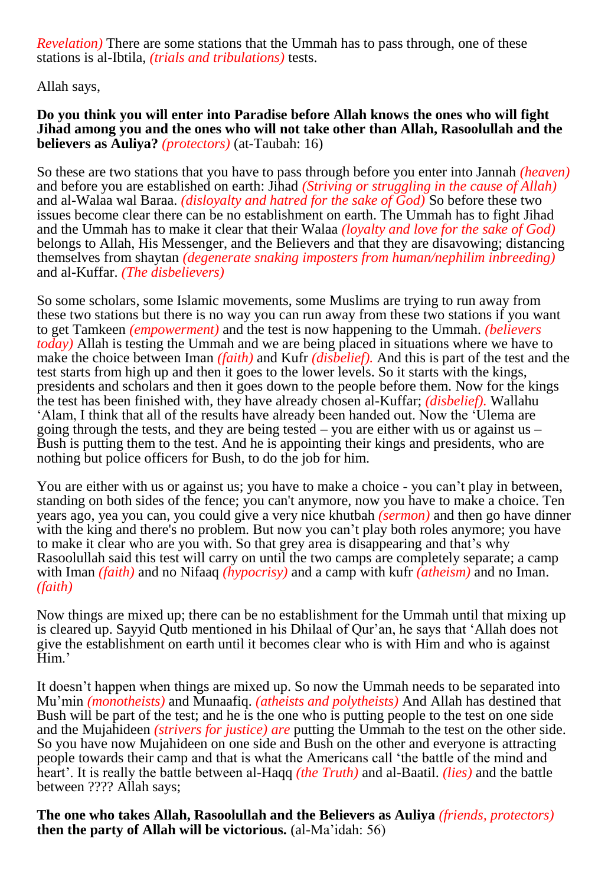*Revelation)* There are some stations that the Ummah has to pass through, one of these stations is al-Ibtila, *(trials and tribulations)* tests.

Allah says,

**Do you think you will enter into Paradise before Allah knows the ones who will fight Jihad among you and the ones who will not take other than Allah, Rasoolullah and the believers as Auliya?** *(protectors)* (at-Taubah: 16)

So these are two stations that you have to pass through before you enter into Jannah *(heaven)* and before you are established on earth: Jihad *(Striving or struggling in the cause of Allah)*  and al-Walaa wal Baraa. *(disloyalty and hatred for the sake of God)* So before these two issues become clear there can be no establishment on earth. The Ummah has to fight Jihad and the Ummah has to make it clear that their Walaa *(loyalty and love for the sake of God)* belongs to Allah, His Messenger, and the Believers and that they are disavowing; distancing themselves from shaytan *(degenerate snaking imposters from human/nephilim inbreeding)* and al-Kuffar. *(The disbelievers)*

So some scholars, some Islamic movements, some Muslims are trying to run away from these two stations but there is no way you can run away from these two stations if you want to get Tamkeen *(empowerment)* and the test is now happening to the Ummah. *(believers today)* Allah is testing the Ummah and we are being placed in situations where we have to make the choice between Iman *(faith)* and Kufr *(disbelief).* And this is part of the test and the test starts from high up and then it goes to the lower levels. So it starts with the kings, presidents and scholars and then it goes down to the people before them. Now for the kings the test has been finished with, they have already chosen al-Kuffar; *(disbelief).* Wallahu 'Alam, I think that all of the results have already been handed out. Now the 'Ulema are going through the tests, and they are being tested – you are either with us or against us – Bush is putting them to the test. And he is appointing their kings and presidents, who are nothing but police officers for Bush, to do the job for him.

You are either with us or against us; you have to make a choice - you can't play in between, standing on both sides of the fence; you can't anymore, now you have to make a choice. Ten years ago, yea you can, you could give a very nice khutbah *(sermon)* and then go have dinner with the king and there's no problem. But now you can't play both roles anymore; you have to make it clear who are you with. So that grey area is disappearing and that's why Rasoolullah said this test will carry on until the two camps are completely separate; a camp with Iman *(faith)* and no Nifaaq *(hypocrisy)* and a camp with kufr *(atheism)* and no Iman. *(faith)*

Now things are mixed up; there can be no establishment for the Ummah until that mixing up is cleared up. Sayyid Qutb mentioned in his Dhilaal of Qur'an, he says that 'Allah does not give the establishment on earth until it becomes clear who is with Him and who is against Him.'

It doesn't happen when things are mixed up. So now the Ummah needs to be separated into Mu'min *(monotheists)* and Munaafiq. *(atheists and polytheists)* And Allah has destined that Bush will be part of the test; and he is the one who is putting people to the test on one side and the Mujahideen *(strivers for justice) are* putting the Ummah to the test on the other side. So you have now Mujahideen on one side and Bush on the other and everyone is attracting people towards their camp and that is what the Americans call 'the battle of the mind and heart'. It is really the battle between al-Haqq *(the Truth)* and al-Baatil. *(lies)* and the battle between ???? Allah says;

**The one who takes Allah, Rasoolullah and the Believers as Auliya** *(friends, protectors)* **then the party of Allah will be victorious.** (al-Ma'idah: 56)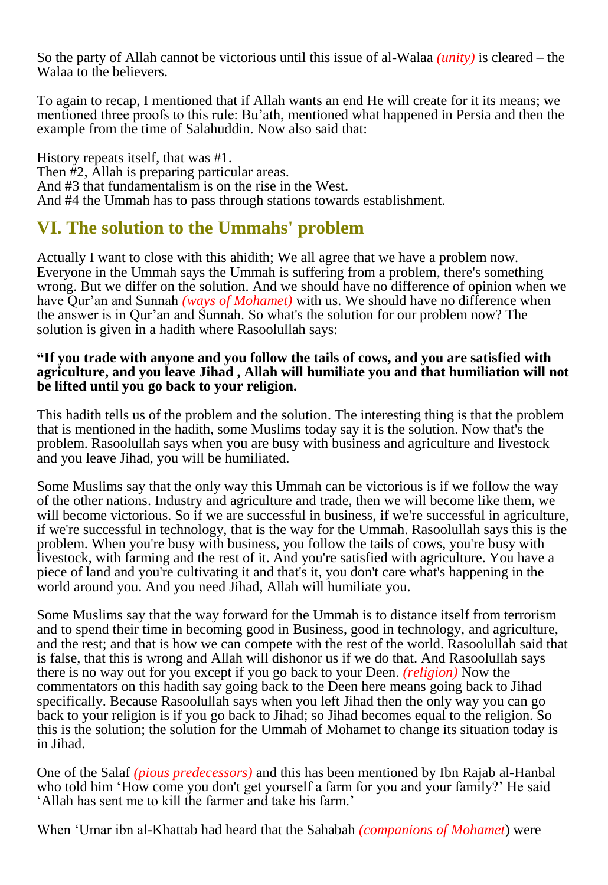So the party of Allah cannot be victorious until this issue of al-Walaa *(unity)* is cleared – the Walaa to the believers.

To again to recap, I mentioned that if Allah wants an end He will create for it its means; we mentioned three proofs to this rule: Bu'ath, mentioned what happened in Persia and then the example from the time of Salahuddin. Now also said that:

History repeats itself, that was #1. Then #2, Allah is preparing particular areas. And #3 that fundamentalism is on the rise in the West. And #4 the Ummah has to pass through stations towards establishment.

## **VI. The solution to the Ummahs' problem**

Actually I want to close with this ahidith; We all agree that we have a problem now. Everyone in the Ummah says the Ummah is suffering from a problem, there's something wrong. But we differ on the solution. And we should have no difference of opinion when we have Qur'an and Sunnah *(ways of Mohamet)* with us. We should have no difference when the answer is in Qur'an and Sunnah. So what's the solution for our problem now? The solution is given in a hadith where Rasoolullah says:

#### **"If you trade with anyone and you follow the tails of cows, and you are satisfied with agriculture, and you leave Jihad , Allah will humiliate you and that humiliation will not be lifted until you go back to your religion.**

This hadith tells us of the problem and the solution. The interesting thing is that the problem that is mentioned in the hadith, some Muslims today say it is the solution. Now that's the problem. Rasoolullah says when you are busy with business and agriculture and livestock and you leave Jihad, you will be humiliated.

Some Muslims say that the only way this Ummah can be victorious is if we follow the way of the other nations. Industry and agriculture and trade, then we will become like them, we will become victorious. So if we are successful in business, if we're successful in agriculture, if we're successful in technology, that is the way for the Ummah. Rasoolullah says this is the problem. When you're busy with business, you follow the tails of cows, you're busy with livestock, with farming and the rest of it. And you're satisfied with agriculture. You have a piece of land and you're cultivating it and that's it, you don't care what's happening in the world around you. And you need Jihad, Allah will humiliate you.

Some Muslims say that the way forward for the Ummah is to distance itself from terrorism and to spend their time in becoming good in Business, good in technology, and agriculture, and the rest; and that is how we can compete with the rest of the world. Rasoolullah said that is false, that this is wrong and Allah will dishonor us if we do that. And Rasoolullah says there is no way out for you except if you go back to your Deen. *(religion)* Now the commentators on this hadith say going back to the Deen here means going back to Jihad specifically. Because Rasoolullah says when you left Jihad then the only way you can go back to your religion is if you go back to Jihad; so Jihad becomes equal to the religion. So this is the solution; the solution for the Ummah of Mohamet to change its situation today is in Jihad.

One of the Salaf *(pious predecessors)* and this has been mentioned by Ibn Rajab al-Hanbal who told him 'How come you don't get yourself a farm for you and your family?' He said 'Allah has sent me to kill the farmer and take his farm.'

When 'Umar ibn al-Khattab had heard that the Sahabah *(companions of Mohamet*) were